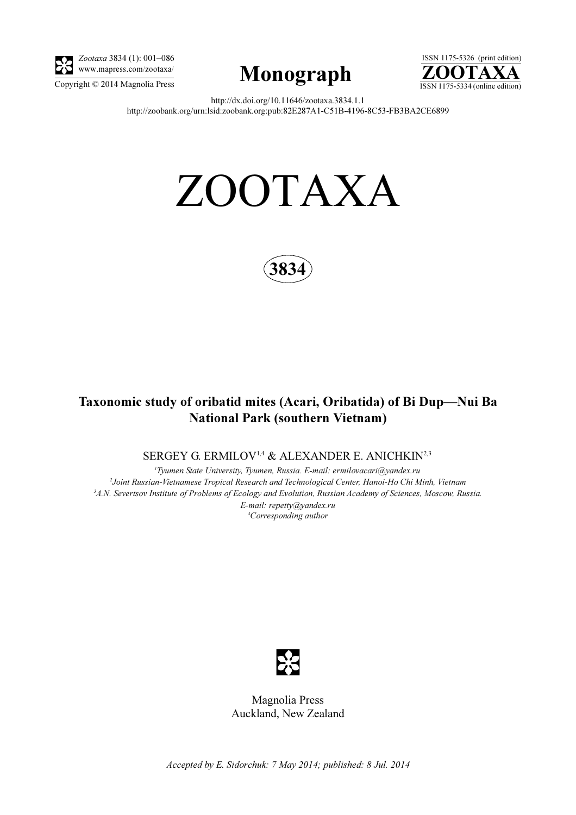

Zootaxa 3834 (1): 001–086 www.mapress.com/zootaxa/





http://dx.doi.org/10.11646/zootaxa.3834.1.1 http://zoobank.org/urn:lsid:zoobank.org:pub:82E287A1-C51B-4196-8C53-FB3BA2CE6899

# ZOOTAXA



## Taxonomic study of oribatid mites (Acari, Oribatida) of Bi Dup—Nui Ba National Park (southern Vietnam)

SERGEY G. ERMILOV<sup>1,4</sup> & ALEXANDER E. ANICHKIN<sup>2,3</sup>

<sup>1</sup>Tyumen State University, Tyumen, Russia. E-mail: ermilovacari@yandex.ru 2 Joint Russian-Vietnamese Tropical Research and Technological Center, Hanoi-Ho Chi Minh, Vietnam <sup>3</sup>A.N. Severtsov Institute of Problems of Ecology and Evolution, Russian Academy of Sciences, Moscow, Russia. E-mail: repetty@yandex.ru 4 Corresponding author



Magnolia Press Auckland, New Zealand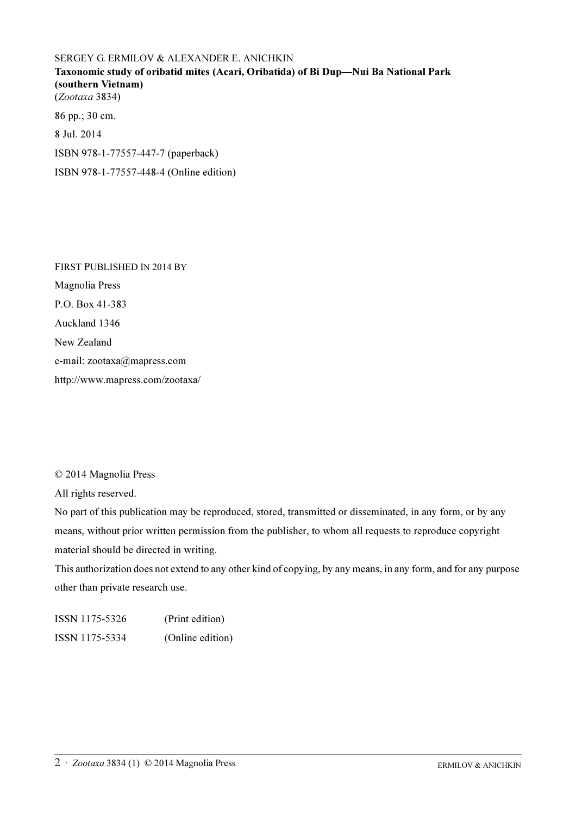### SERGEY G. ERMILOV & ALEXANDER E. ANICHKIN Taxonomic study of oribatid mites (Acari, Oribatida) of Bi Dup—Nui Ba National Park (southern Vietnam) (Zootaxa 3834) 86 pp.; 30 cm. 8 Jul. 2014

ISBN 978-1-77557-447-7 (paperback)

ISBN 978-1-77557-448-4 (Online edition)

FIRST PUBLISHED IN 2014 BY Magnolia Press P.O. Box 41-383 Auckland 1346 New Zealand e-mail: zootaxa@mapress.com http://www.mapress.com/zootaxa/

#### © 2014 Magnolia Press

All rights reserved.

No part of this publication may be reproduced, stored, transmitted or disseminated, in any form, or by any means, without prior written permission from the publisher, to whom all requests to reproduce copyright material should be directed in writing.

This authorization does not extend to any other kind of copying, by any means, in any form, and for any purpose other than private research use.

ISSN 1175-5326 (Print edition) ISSN 1175-5334 (Online edition)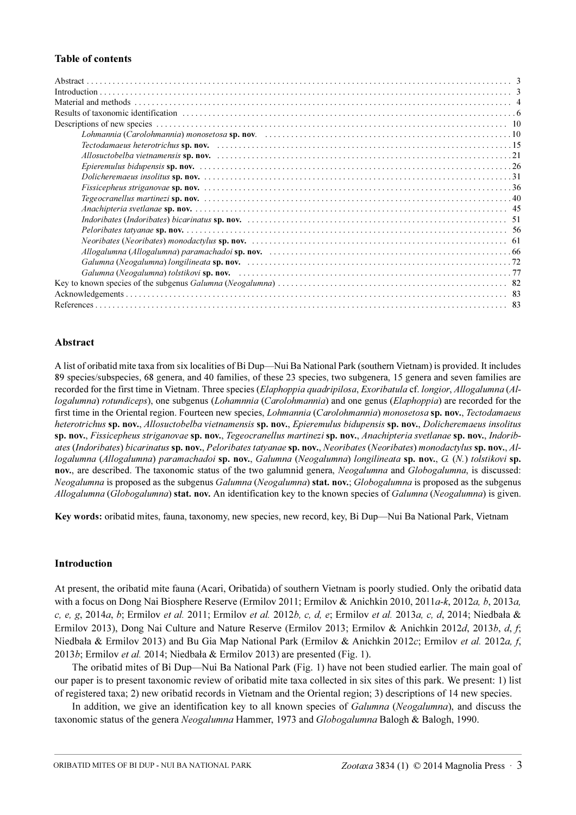#### Table of contents

#### Abstract

A list of oribatid mite taxa from six localities of Bi Dup—Nui Ba National Park (southern Vietnam) is provided. It includes 89 species/subspecies, 68 genera, and 40 families, of these 23 species, two subgenera, 15 genera and seven families are recorded for the first time in Vietnam. Three species (Elaphoppia quadripilosa, Exoribatula cf. longior, Allogalumna (Allogalumna) rotundiceps), one subgenus (Lohamnnia (Carolohmannia) and one genus (Elaphoppia) are recorded for the first time in the Oriental region. Fourteen new species, *Lohmannia* (Carolohmannia) monosetosa sp. nov., Tectodamaeus heterotrichus sp. nov., Allosuctobelba vietnamensis sp. nov., Epieremulus bidupensis sp. nov., Dolicheremaeus insolitus sp. nov., Fissicepheus striganovae sp. nov., Tegeocranellus martinezi sp. nov., Anachipteria svetlanae sp. nov., Indoribates (Indoribates) bicarinatus sp. nov., Peloribates tatyanae sp. nov., Neoribates (Neoribates) monodactylus sp. nov., Allogalumna (Allogalumna) paramachadoi sp. nov., Galumna (Neogalumna) longilineata sp. nov., G. (N.) tolstikovi sp. nov., are described. The taxonomic status of the two galumnid genera, Neogalumna and Globogalumna, is discussed: Neogalumna is proposed as the subgenus Galumna (Neogalumna) stat. nov.; Globogalumna is proposed as the subgenus Allogalumna (Globogalumna) stat. nov. An identification key to the known species of Galumna (Neogalumna) is given.

Key words: oribatid mites, fauna, taxonomy, new species, new record, key, Bi Dup—Nui Ba National Park, Vietnam

#### Introduction

At present, the oribatid mite fauna (Acari, Oribatida) of southern Vietnam is poorly studied. Only the oribatid data with a focus on Dong Nai Biosphere Reserve (Ermilov 2011; Ermilov & Anichkin 2010, 2011a-k, 2012a, b, 2013a, c, e, g, 2014a, b; Ermilov et al. 2011; Ermilov et al. 2012b, c, d, e; Ermilov et al. 2013a, c, d, 2014; Niedbała & Ermilov 2013), Dong Nai Culture and Nature Reserve (Ermilov 2013; Ermilov & Anichkin 2012d, 2013b, d, f; Niedbała & Ermilov 2013) and Bu Gia Map National Park (Ermilov & Anichkin 2012c; Ermilov et al. 2012a, f, 2013b; Ermilov et al. 2014; Niedbała & Ermilov 2013) are presented (Fig. 1).

The oribatid mites of Bi Dup—Nui Ba National Park (Fig. 1) have not been studied earlier. The main goal of our paper is to present taxonomic review of oribatid mite taxa collected in six sites of this park. We present: 1) list of registered taxa; 2) new oribatid records in Vietnam and the Oriental region; 3) descriptions of 14 new species.

In addition, we give an identification key to all known species of *Galumna (Neogalumna)*, and discuss the taxonomic status of the genera Neogalumna Hammer, 1973 and Globogalumna Balogh & Balogh, 1990.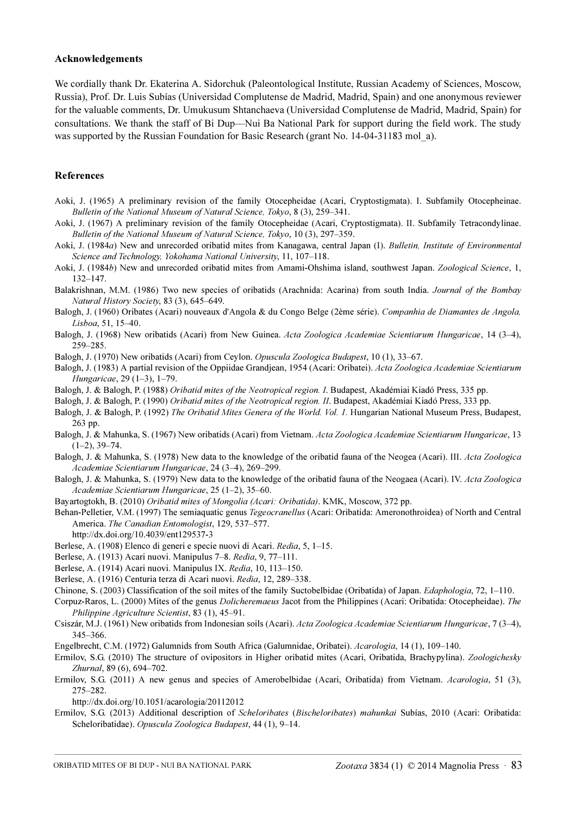#### Acknowledgements

We cordially thank Dr. Ekaterina A. Sidorchuk (Paleontological Institute, Russian Academy of Sciences, Moscow, Russia), Prof. Dr. Luis Subías (Universidad Complutense de Madrid, Madrid, Spain) and one anonymous reviewer for the valuable comments, Dr. Umukusum Shtanchaeva (Universidad Complutense de Madrid, Madrid, Spain) for consultations. We thank the staff of Bi Dup—Nui Ba National Park for support during the field work. The study was supported by the Russian Foundation for Basic Research (grant No. 14-04-31183 mol a).

#### References

- Aoki, J. (1965) A preliminary revision of the family Otocepheidae (Acari, Cryptostigmata). I. Subfamily Otocepheinae. Bulletin of the National Museum of Natural Science, Tokyo, 8 (3), 259–341.
- Aoki, J. (1967) A preliminary revision of the family Otocepheidae (Acari, Cryptostigmata). II. Subfamily Tetracondylinae. Bulletin of the National Museum of Natural Science, Tokyo, 10 (3), 297–359.
- Aoki, J. (1984a) New and unrecorded oribatid mites from Kanagawa, central Japan (I). Bulletin, Institute of Environmental Science and Technology, Yokohama National University, 11, 107–118.
- Aoki, J. (1984b) New and unrecorded oribatid mites from Amami-Ohshima island, southwest Japan. Zoological Science, 1, 132–147.
- Balakrishnan, M.M. (1986) Two new species of oribatids (Arachnida: Acarina) from south India. Journal of the Bombay Natural History Society, 83 (3), 645–649.
- Balogh, J. (1960) Oribates (Acari) nouveaux d'Angola & du Congo Belge (2ème série). Companhia de Diamantes de Angola, Lisboa, 51, 15–40.
- Balogh, J. (1968) New oribatids (Acari) from New Guinea. Acta Zoologica Academiae Scientiarum Hungaricae, 14 (3–4), 259–285.
- Balogh, J. (1970) New oribatids (Acari) from Ceylon. Opuscula Zoologica Budapest, 10 (1), 33–67.
- Balogh, J. (1983) A partial revision of the Oppiidae Grandjean, 1954 (Acari: Oribatei). Acta Zoologica Academiae Scientiarum Hungaricae, 29 (1–3), 1–79.
- Balogh, J. & Balogh, P. (1988) Oribatid mites of the Neotropical region. I. Budapest, Akadémiai Kiadó Press, 335 pp.
- Balogh, J. & Balogh, P. (1990) Oribatid mites of the Neotropical region. II. Budapest, Akadémiai Kiadó Press, 333 pp.
- Balogh, J. & Balogh, P. (1992) The Oribatid Mites Genera of the World. Vol. 1. Hungarian National Museum Press, Budapest, 263 pp.
- Balogh, J. & Mahunka, S. (1967) New oribatids (Acari) from Vietnam. Acta Zoologica Academiae Scientiarum Hungaricae, 13  $(1-2)$ , 39-74.
- Balogh, J. & Mahunka, S. (1978) New data to the knowledge of the oribatid fauna of the Neogea (Acari). III. Acta Zoologica Academiae Scientiarum Hungaricae, 24 (3–4), 269–299.
- Balogh, J. & Mahunka, S. (1979) New data to the knowledge of the oribatid fauna of the Neogaea (Acari). IV. Acta Zoologica Academiae Scientiarum Hungaricae, 25 (1–2), 35–60.
- Bayartogtokh, B. (2010) Oribatid mites of Mongolia (Acari: Oribatida). KMK, Moscow, 372 pp.
- Behan-Pelletier, V.M. (1997) The semiaquatic genus *Tegeocranellus* (Acari: Oribatida: Ameronothroidea) of North and Central America. The Canadian Entomologist, 129, 537–577.
	- http://dx.doi.org/10.4039/ent129537-3
- Berlese, A. (1908) Elenco di generi e specie nuovi di Acari. Redia, 5, 1–15.
- Berlese, A. (1913) Acari nuovi. Manipulus 7–8. Redia, 9, 77–111.
- Berlese, A. (1914) Acari nuovi. Manipulus IX. Redia, 10, 113–150.
- Berlese, A. (1916) Centuria terza di Acari nuovi. Redia, 12, 289–338.
- Chinone, S. (2003) Classification of the soil mites of the family Suctobelbidae (Oribatida) of Japan. Edaphologia, 72, 1–110.
- Corpuz-Raros, L. (2000) Mites of the genus Dolicheremaeus Jacot from the Philippines (Acari: Oribatida: Otocepheidae). The Philippine Agriculture Scientist, 83 (1), 45–91.
- Csiszár, M.J. (1961) New oribatids from Indonesian soils (Acari). Acta Zoologica Academiae Scientiarum Hungaricae, 7 (3–4), 345–366.
- Engelbrecht, C.M. (1972) Galumnids from South Africa (Galumnidae, Oribatei). Acarologia, 14 (1), 109–140.
- Ermilov, S.G. (2010) The structure of ovipositors in Higher oribatid mites (Acari, Oribatida, Brachypylina). Zoologichesky Zhurnal, 89 (6), 694–702.
- Ermilov, S.G. (2011) A new genus and species of Amerobelbidae (Acari, Oribatida) from Vietnam. Acarologia, 51 (3), 275–282.
	- http://dx.doi.org/10.1051/acarologia/20112012
- Ermilov, S.G. (2013) Additional description of Scheloribates (Bischeloribates) mahunkai Subías, 2010 (Acari: Oribatida: Scheloribatidae). Opuscula Zoologica Budapest, 44 (1), 9–14.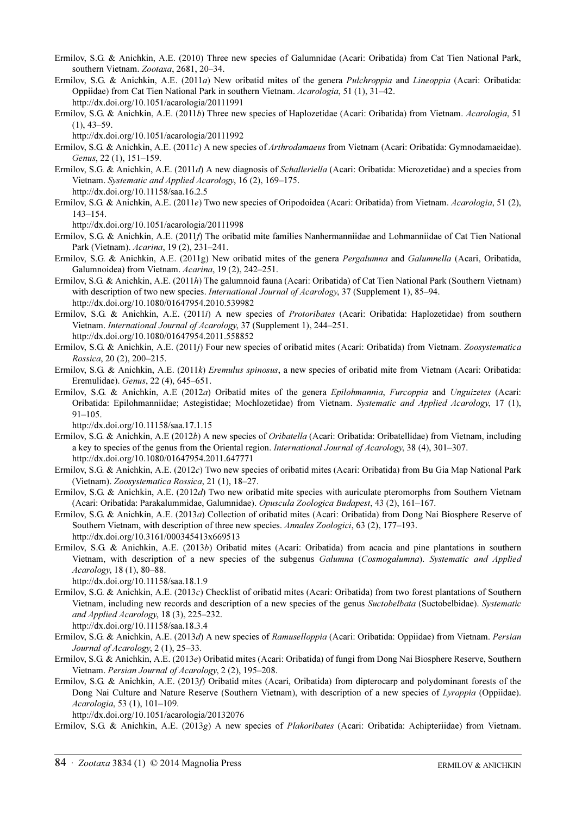- Ermilov, S.G. & Anichkin, A.E. (2010) Three new species of Galumnidae (Acari: Oribatida) from Cat Tien National Park, southern Vietnam. Zootaxa, 2681, 20–34.
- Ermilov, S.G. & Anichkin, A.E. (2011a) New oribatid mites of the genera *Pulchroppia* and *Lineoppia* (Acari: Oribatida: Oppiidae) from Cat Tien National Park in southern Vietnam. Acarologia, 51 (1), 31–42. http://dx.doi.org/10.1051/acarologia/20111991

Ermilov, S.G. & Anichkin, A.E. (2011b) Three new species of Haplozetidae (Acari: Oribatida) from Vietnam. Acarologia, 51 (1), 43–59.

http://dx.doi.org/10.1051/acarologia/20111992

Ermilov, S.G. & Anichkin, A.E. (2011c) A new species of *Arthrodamaeus* from Vietnam (Acari: Oribatida: Gymnodamaeidae). Genus, 22 (1), 151–159.

Ermilov, S.G. & Anichkin, A.E. (2011d) A new diagnosis of Schalleriella (Acari: Oribatida: Microzetidae) and a species from Vietnam. Systematic and Applied Acarology, 16 (2), 169–175. http://dx.doi.org/10.11158/saa.16.2.5

Ermilov, S.G. & Anichkin, A.E. (2011e) Two new species of Oripodoidea (Acari: Oribatida) from Vietnam. Acarologia, 51 (2), 143–154.

http://dx.doi.org/10.1051/acarologia/20111998

Ermilov, S.G. & Anichkin, A.E. (2011) The oribatid mite families Nanhermanniidae and Lohmanniidae of Cat Tien National Park (Vietnam). Acarina, 19 (2), 231–241.

Ermilov, S.G. & Anichkin, A.E. (2011g) New oribatid mites of the genera *Pergalumna* and Galumnella (Acari, Oribatida, Galumnoidea) from Vietnam. Acarina, 19 (2), 242–251.

Ermilov, S.G. & Anichkin, A.E. (2011h) The galumnoid fauna (Acari: Oribatida) of Cat Tien National Park (Southern Vietnam) with description of two new species. International Journal of Acarology, 37 (Supplement 1), 85–94. http://dx.doi.org/10.1080/01647954.2010.539982

Ermilov, S.G. & Anichkin, A.E. (2011i) A new species of *Protoribates* (Acari: Oribatida: Haplozetidae) from southern Vietnam. International Journal of Acarology, 37 (Supplement 1), 244–251. http://dx.doi.org/10.1080/01647954.2011.558852

Ermilov, S.G. & Anichkin, A.E. (2011j) Four new species of oribatid mites (Acari: Oribatida) from Vietnam. Zoosystematica Rossica, 20 (2), 200–215.

Ermilov, S.G. & Anichkin, A.E. (2011k) Eremulus spinosus, a new species of oribatid mite from Vietnam (Acari: Oribatida: Eremulidae). Genus, 22 (4), 645–651.

Ermilov, S.G. & Anichkin, A.E (2012a) Oribatid mites of the genera *Epilohmannia, Furcoppia* and *Unguizetes* (Acari: Oribatida: Epilohmanniidae; Astegistidae; Mochlozetidae) from Vietnam. Systematic and Applied Acarology, 17 (1), 91–105.

http://dx.doi.org/10.11158/saa.17.1.15

- Ermilov, S.G. & Anichkin, A.E (2012b) A new species of *Oribatella* (Acari: Oribatida: Oribatellidae) from Vietnam, including a key to species of the genus from the Oriental region. International Journal of Acarology, 38 (4), 301–307. http://dx.doi.org/10.1080/01647954.2011.647771
- Ermilov, S.G. & Anichkin, A.E. (2012c) Two new species of oribatid mites (Acari: Oribatida) from Bu Gia Map National Park (Vietnam). Zoosystematica Rossica, 21 (1), 18–27.
- Ermilov, S.G. & Anichkin, A.E. (2012d) Two new oribatid mite species with auriculate pteromorphs from Southern Vietnam (Acari: Oribatida: Parakalummidae, Galumnidae). Opuscula Zoologica Budapest, 43 (2), 161–167.
- Ermilov, S.G. & Anichkin, A.E. (2013a) Collection of oribatid mites (Acari: Oribatida) from Dong Nai Biosphere Reserve of Southern Vietnam, with description of three new species. Annales Zoologici, 63 (2), 177–193. http://dx.doi.org/10.3161/000345413x669513
- Ermilov, S.G. & Anichkin, A.E. (2013b) Oribatid mites (Acari: Oribatida) from acacia and pine plantations in southern Vietnam, with description of a new species of the subgenus Galumna (Cosmogalumna). Systematic and Applied Acarology, 18 (1), 80–88.

http://dx.doi.org/10.11158/saa.18.1.9

Ermilov, S.G. & Anichkin, A.E. (2013c) Checklist of oribatid mites (Acari: Oribatida) from two forest plantations of Southern Vietnam, including new records and description of a new species of the genus Suctobelbata (Suctobelbidae). Systematic and Applied Acarology, 18 (3), 225–232.

http://dx.doi.org/10.11158/saa.18.3.4

- Ermilov, S.G. & Anichkin, A.E. (2013d) A new species of Ramuselloppia (Acari: Oribatida: Oppiidae) from Vietnam. Persian Journal of Acarology, 2 (1), 25–33.
- Ermilov, S.G. & Anichkin, A.E. (2013e) Oribatid mites (Acari: Oribatida) of fungi from Dong Nai Biosphere Reserve, Southern Vietnam. Persian Journal of Acarology, 2 (2), 195–208.
- Ermilov, S.G. & Anichkin, A.E. (2013f) Oribatid mites (Acari, Oribatida) from dipterocarp and polydominant forests of the Dong Nai Culture and Nature Reserve (Southern Vietnam), with description of a new species of Lyroppia (Oppiidae). Acarologia, 53 (1), 101–109.

http://dx.doi.org/10.1051/acarologia/20132076

Ermilov, S.G. & Anichkin, A.E. (2013g) A new species of Plakoribates (Acari: Oribatida: Achipteriidae) from Vietnam.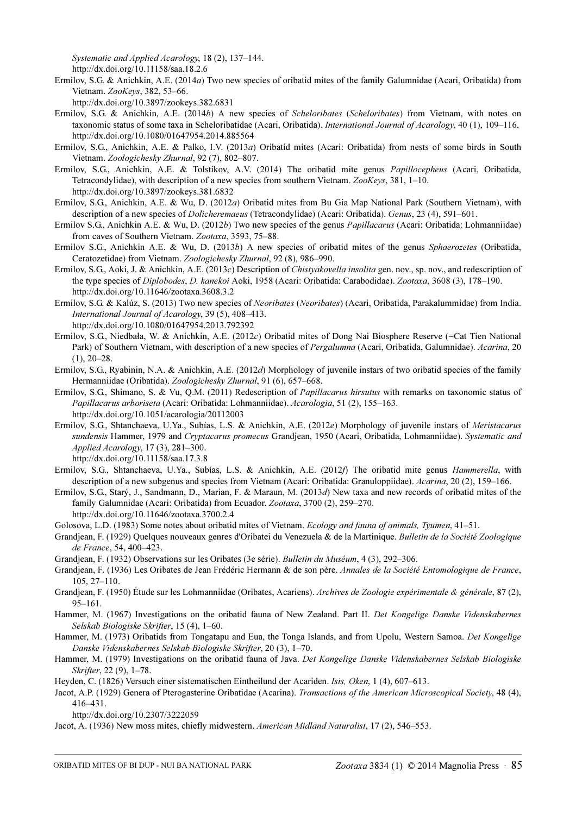Systematic and Applied Acarology, 18 (2), 137–144.

http://dx.doi.org/10.11158/saa.18.2.6

- Ermilov, S.G. & Anichkin, A.E. (2014a) Two new species of oribatid mites of the family Galumnidae (Acari, Oribatida) from Vietnam. ZooKeys, 382, 53–66.
	- http://dx.doi.org/10.3897/zookeys.382.6831
- Ermilov, S.G. & Anichkin, A.E. (2014b) A new species of Scheloribates (Scheloribates) from Vietnam, with notes on taxonomic status of some taxa in Scheloribatidae (Acari, Oribatida). International Journal of Acarology, 40 (1), 109–116. http://dx.doi.org/10.1080/01647954.2014.885564
- Ermilov, S.G., Anichkin, A.E. & Palko, I.V. (2013a) Oribatid mites (Acari: Oribatida) from nests of some birds in South Vietnam. Zoologichesky Zhurnal, 92 (7), 802–807.
- Ermilov, S.G., Anichkin, A.E. & Tolstikov, A.V. (2014) The oribatid mite genus Papillocepheus (Acari, Oribatida, Tetracondylidae), with description of a new species from southern Vietnam. ZooKeys, 381, 1–10. http://dx.doi.org/10.3897/zookeys.381.6832
- Ermilov, S.G., Anichkin, A.E. & Wu, D. (2012a) Oribatid mites from Bu Gia Map National Park (Southern Vietnam), with description of a new species of Dolicheremaeus (Tetracondylidae) (Acari: Oribatida). Genus, 23 (4), 591–601.
- Ermilov S.G., Anichkin A.E. & Wu, D. (2012b) Two new species of the genus *Papillacarus* (Acari: Oribatida: Lohmanniidae) from caves of Southern Vietnam. Zootaxa, 3593, 75–88.
- Ermilov S.G., Anichkin A.E. & Wu, D. (2013b) A new species of oribatid mites of the genus Sphaerozetes (Oribatida, Ceratozetidae) from Vietnam. Zoologichesky Zhurnal, 92 (8), 986–990.
- Ermilov, S.G., Aoki, J. & Anichkin, A.E. (2013c) Description of Chistyakovella insolita gen. nov., sp. nov., and redescription of the type species of Diplobodes, D. kanekoi Aoki, 1958 (Acari: Oribatida: Carabodidae). Zootaxa, 3608 (3), 178–190. http://dx.doi.org/10.11646/zootaxa.3608.3.2
- Ermilov, S.G. & Kalúz, S. (2013) Two new species of Neoribates (Neoribates) (Acari, Oribatida, Parakalummidae) from India. International Journal of Acarology, 39 (5), 408–413. http://dx.doi.org/10.1080/01647954.2013.792392
- Ermilov, S.G., Niedbała, W. & Anichkin, A.E. (2012c) Oribatid mites of Dong Nai Biosphere Reserve (=Cat Tien National Park) of Southern Vietnam, with description of a new species of Pergalumna (Acari, Oribatida, Galumnidae). Acarina, 20  $(1), 20-28.$
- Ermilov, S.G., Ryabinin, N.A. & Anichkin, A.E. (2012d) Morphology of juvenile instars of two oribatid species of the family Hermanniidae (Oribatida). Zoologichesky Zhurnal, 91 (6), 657–668.
- Ermilov, S.G., Shimano, S. & Vu, Q.M. (2011) Redescription of *Papillacarus hirsutus* with remarks on taxonomic status of Papillacarus arboriseta (Acari: Oribatida: Lohmanniidae). Acarologia, 51 (2), 155–163. http://dx.doi.org/10.1051/acarologia/20112003
- Ermilov, S.G., Shtanchaeva, U.Ya., Subías, L.S. & Anichkin, A.E. (2012e) Morphology of juvenile instars of Meristacarus sundensis Hammer, 1979 and Cryptacarus promecus Grandjean, 1950 (Acari, Oribatida, Lohmanniidae). Systematic and Applied Acarology, 17 (3), 281–300. http://dx.doi.org/10.11158/saa.17.3.8
- Ermilov, S.G., Shtanchaeva, U.Ya., Subías, L.S. & Anichkin, A.E. (2012f) The oribatid mite genus *Hammerella*, with description of a new subgenus and species from Vietnam (Acari: Oribatida: Granuloppiidae). Acarina, 20 (2), 159–166.
- Ermilov, S.G., Starý, J., Sandmann, D., Marian, F. & Maraun, M. (2013d) New taxa and new records of oribatid mites of the family Galumnidae (Acari: Oribatida) from Ecuador. Zootaxa, 3700 (2), 259-270.

http://dx.doi.org/10.11646/zootaxa.3700.2.4

- Golosova, L.D. (1983) Some notes about oribatid mites of Vietnam. Ecology and fauna of animals, Tyumen, 41–51.
- Grandjean, F. (1929) Quelques nouveaux genres d'Oribatei du Venezuela & de la Martinique. Bulletin de la Société Zoologique de France, 54, 400–423.
- Grandjean, F. (1932) Observations sur les Oribates (3e série). Bulletin du Muséum, 4 (3), 292–306.
- Grandjean, F. (1936) Les Oribates de Jean Frédéric Hermann & de son père. Annales de la Société Entomologique de France, 105, 27–110.
- Grandiean, F. (1950) Étude sur les Lohmanniidae (Oribates, Acariens). Archives de Zoologie expérimentale & générale, 87(2), 95–161.
- Hammer, M. (1967) Investigations on the oribatid fauna of New Zealand. Part II. Det Kongelige Danske Videnskabernes Selskab Biologiske Skrifter, 15 (4), 1–60.
- Hammer, M. (1973) Oribatids from Tongatapu and Eua, the Tonga Islands, and from Upolu, Western Samoa. Det Kongelige Danske Videnskabernes Selskab Biologiske Skrifter, 20 (3), 1–70.
- Hammer, M. (1979) Investigations on the oribatid fauna of Java. Det Kongelige Danske Videnskabernes Selskab Biologiske Skrifter, 22 (9), 1–78.
- Heyden, C. (1826) Versuch einer sistematischen Eintheilund der Acariden. Isis, Oken, 1 (4), 607–613.
- Jacot, A.P. (1929) Genera of Pterogasterine Oribatidae (Acarina). Transactions of the American Microscopical Society, 48 (4), 416–431.

http://dx.doi.org/10.2307/3222059

Jacot, A. (1936) New moss mites, chiefly midwestern. American Midland Naturalist, 17 (2), 546–553.